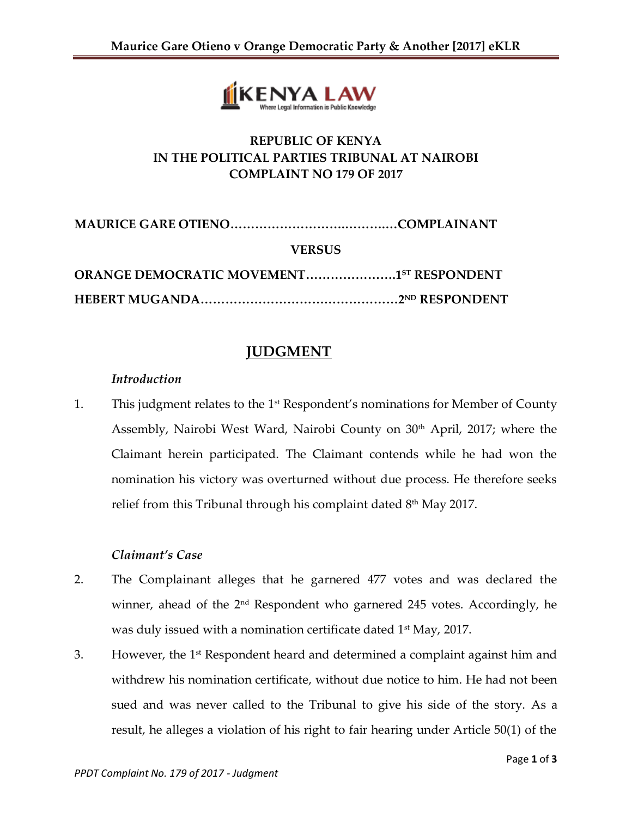

# **REPUBLIC OF KENYA IN THE POLITICAL PARTIES TRIBUNAL AT NAIROBI COMPLAINT NO 179 OF 2017**

| <b>VERSUS</b>                                   |  |
|-------------------------------------------------|--|
| <b>ORANGE DEMOCRATIC MOVEMENT15T RESPONDENT</b> |  |
|                                                 |  |

## **JUDGMENT**

### *Introduction*

1. This judgment relates to the 1<sup>st</sup> Respondent's nominations for Member of County Assembly, Nairobi West Ward, Nairobi County on 30<sup>th</sup> April, 2017; where the Claimant herein participated. The Claimant contends while he had won the nomination his victory was overturned without due process. He therefore seeks relief from this Tribunal through his complaint dated  $8<sup>th</sup>$  May 2017.

#### *Claimant's Case*

- 2. The Complainant alleges that he garnered 477 votes and was declared the winner, ahead of the 2<sup>nd</sup> Respondent who garnered 245 votes. Accordingly, he was duly issued with a nomination certificate dated  $1<sup>st</sup>$  May, 2017.
- 3. However, the  $1<sup>st</sup>$  Respondent heard and determined a complaint against him and withdrew his nomination certificate, without due notice to him. He had not been sued and was never called to the Tribunal to give his side of the story. As a result, he alleges a violation of his right to fair hearing under Article 50(1) of the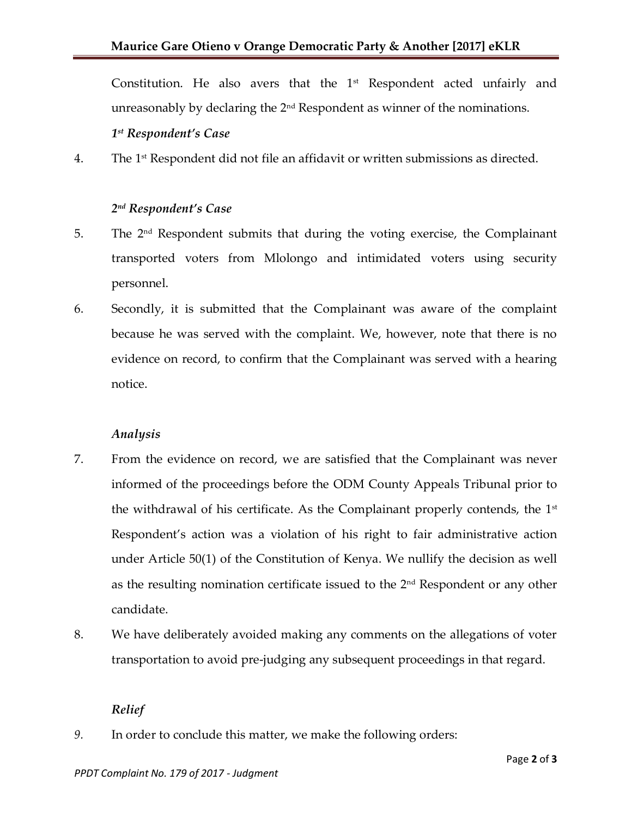Constitution. He also avers that the  $1<sup>st</sup>$  Respondent acted unfairly and unreasonably by declaring the  $2<sup>nd</sup>$  Respondent as winner of the nominations. *1 st Respondent's Case*

 $4.$  The  $1<sup>st</sup>$  Respondent did not file an affidavit or written submissions as directed.

## *2 nd Respondent's Case*

- 5. The 2nd Respondent submits that during the voting exercise, the Complainant transported voters from Mlolongo and intimidated voters using security personnel.
- 6. Secondly, it is submitted that the Complainant was aware of the complaint because he was served with the complaint. We, however, note that there is no evidence on record, to confirm that the Complainant was served with a hearing notice.

#### *Analysis*

- 7. From the evidence on record, we are satisfied that the Complainant was never informed of the proceedings before the ODM County Appeals Tribunal prior to the withdrawal of his certificate. As the Complainant properly contends, the  $1<sup>st</sup>$ Respondent's action was a violation of his right to fair administrative action under Article 50(1) of the Constitution of Kenya. We nullify the decision as well as the resulting nomination certificate issued to the  $2<sup>nd</sup>$  Respondent or any other candidate.
- 8. We have deliberately avoided making any comments on the allegations of voter transportation to avoid pre-judging any subsequent proceedings in that regard.

### *Relief*

*9.* In order to conclude this matter, we make the following orders: